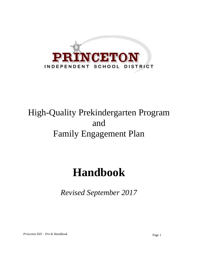

## High-Quality Prekindergarten Program and Family Engagement Plan

# **Handbook**

*Revised September 2017*

*Princeton ISD – Pre-K Handbook* Page 1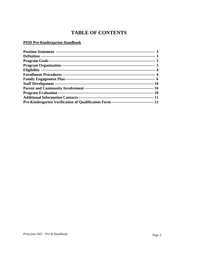## **TABLE OF CONTENTS**

#### **PISD Pre-Kindergarten Handbook**

| Pre-Kindergarten Verification of Qualification Form ----------------------------------- 12 |  |
|--------------------------------------------------------------------------------------------|--|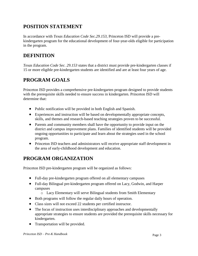## **POSITION STATEMENT**

In accordance with *Texas Education Code Sec.29.153,* Princeton ISD will provide a prekindergarten program for the educational development of four-year-olds eligible for participation in the program.

## **DEFINITION**

*Texas Education Code Sec. 29.153* states that a district must provide pre-kindergarten classes if 15 or more eligible pre-kindergarten students are identified and are at least four years of age.

## **PROGRAM GOALS**

Princeton ISD provides a comprehensive pre-kindergarten program designed to provide students with the prerequisite skills needed to ensure success in kindergarten. Princeton ISD will determine that:

- Public notification will be provided in both English and Spanish.
- Experiences and instruction will be based on developmentally appropriate concepts, skills, and themes and research-based teaching strategies proven to be successful.
- Parents and community members shall have the opportunity to provide input on the district and campus improvement plans. Families of identified students will be provided ongoing opportunities to participate and learn about the strategies used in the school program.
- Princeton ISD teachers and administrators will receive appropriate staff development in the area of early-childhood development and education.

## **PROGRAM ORGANIZATION**

Princeton ISD pre-kindergarten program will be organized as follows:

- Full-day pre-kindergarten program offered on all elementary campuses
- Full-day Bilingual pre-kindergarten program offered on Lacy, Godwin, and Harper campuses
	- o Lacy Elementary will serve Bilingual students from Smith Elementary
- Both programs will follow the regular daily hours of operation.
- Class sizes will not exceed 22 students per certified instructor.
- The focus of instruction uses interdisciplinary approaches and developmentally appropriate strategies to ensure students are provided the prerequisite skills necessary for kindergarten.
- Transportation will be provided.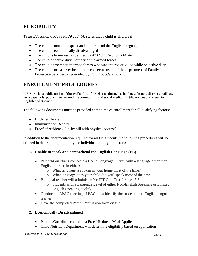## **ELIGIBILITY**

*Texas Education Code (Sec. 29.153 (b))* states that a child is eligible if:

- The child is unable to speak and comprehend the English language
- The child is economically disadvantaged
- The child is homeless, as defined by *42 U.S.C. Section 11434a*
- The child of active duty member of the armed forces
- The child of member of armed forces who was injured or killed while on active duty.
- The child is or has ever been in the conservatorship of the department of Family and Protective Services, as provided by *Family Code 262.201.*

## **ENROLLMENT PROCEDURES**

PISD provides public notice of the availability of PK classes through school newsletters, district email list, newspaper ads, public fliers around the community, and social media. Public notices are issued in English and Spanish.

The following documents must be provided at the time of enrollment for all qualifying factors:

- Birth certificate
- Immunization Record
- Proof of residency (utility bill with physical address)

In addition to the documentation required for all PK students the following procedures will be utilized in determining eligibility for individual qualifying factors:

- **1. Unable to speak and comprehend the English Language (EL)**
	- Parents/Guardians complete a Home Language Survey with a language other than English marked in either:
		- o What language is spoken in your home most of the time?
		- o What language does your child (do you) speak most of the time?
	- Bilingual teacher will administer Pre-IPT Oral Test for ages 3-5
		- o Students with a Language Level of either Non-English Speaking or Limited English Speaking qualify
	- Conduct an LPAC meeting. LPAC must identify the student as an English language learner
	- Have the completed Parent Permission form on file

#### **2. Economically Disadvantaged**

- Parents/Guardians complete a Free / Reduced Meal Application
- Child Nutrition Department will determine eligibility based on application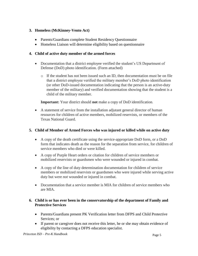#### **3. Homeless (McKinney-Vento Act)**

- Parents/Guardians complete Student Residency Questionnaire
- Homeless Liaison will determine eligibility based on questionnaire

#### **4. Child of active duty member of the armed forces**

- Documentation that a district employee verified the student's US Department of Defense (DoD) photo identification. (Form attached)
	- $\circ$  If the student has not been issued such an ID, then documentation must be on file that a district employee verified the military member's DoD photo identification (or other DoD-issued documentation indicating that the person is an active-duty member of the military) and verified documentation showing that the student is a child of the military member.

**Important:** Your district should **not** make a copy of DoD identification.

 A statement of service from the installation adjutant general director of human resources for children of active members, mobilized reservists, or members of the Texas National Guard.

#### **5. Child of Member of Armed Forces who was injured or killed while on active duty**

- A copy of the death certificate using the service-appropriate DoD form, or a DoD form that indicates death as the reason for the separation from service, for children of service members who died or were killed.
- A copy of Purple Heart orders or citation for children of service members or mobilized reservists or guardsmen who were wounded or injured in combat.
- A copy of the line of duty determination documentation for children of service members or mobilized reservists or guardsmen who were injured while serving active duty but were *not* wounded or injured in combat.
- Documentation that a service member is MIA for children of service members who are MIA.

#### **6. Child is or has ever been in the conservatorship of the department of Family and Protective Services**

- Parents/Guardians present PK Verification letter from DFPS and Child Protective Services; or
- If parent or caregiver does not receive this letter, he or she may obtain evidence of eligibility by contacting a DFPS education specialist.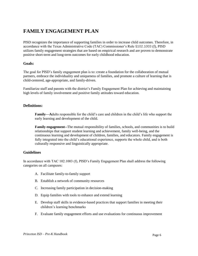## **FAMILY ENGAGEMENT PLAN**

PISD recognizes the importance of supporting families in order to increase child outcomes. Therefore, in accordance with the Texas Administrative Code (TAC) Commissioner's Rule §102.1003 (f), PISD utilizes family engagement strategies that are based on empirical research and are proven to demonstrate positive short-term and long-term outcomes for early childhood education.

#### **Goals:**

The goal for PISD's family engagement plan is to: create a foundation for the collaboration of mutual partners, embrace the individuality and uniqueness of families, and promote a culture of learning that is child-centered, age-appropriate, and family-driven.

Familiarize staff and parents with the district's Family Engagement Plan for achieving and maintaining high levels of family involvement and positive family attitudes toward education.

#### **Definitions:**

**Family—A**dults responsible for the child's care and children in the child's life who support the early learning and development of the child.

**Family engagement--**The mutual responsibility of families, schools, and communities is to build relationships that support student learning and achievement, family well-being, and the continuous learning and development of children, families, and educators. Family engagement is fully integrated into the child's educational experience, supports the whole child, and is both culturally responsive and linguistically appropriate.

#### **Guidelines**

In accordance with TAC 102.1003 (f), PISD's Family Engagement Plan shall address the following categories on all campuses:

- A. Facilitate family-to-family support
- B. Establish a network of community resources
- C. Increasing family participation in decision-making
- D. Equip families with tools to enhance and extend learning
- E. Develop staff skills in evidence-based practices that support families in meeting their children's learning benchmarks
- F. Evaluate family engagement efforts and use evaluations for continuous improvement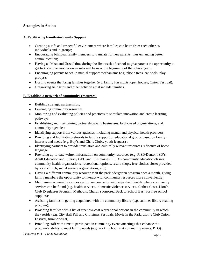#### **Strategies in Action**

#### **A. Facilitating Family-to-Family Support**

- Creating a safe and respectful environment where families can learn from each other as individuals and in groups;
- Encouraging bilingual family members to translate for new parents, thus enhancing better communication;
- Having a "Meet and Greet" time during the first week of school to give parents the opportunity to get to know one another on an informal basis at the beginning of the school year;
- Encouraging parents to set up mutual support mechanisms (e.g. phone trees, car pools, play groups);
- Hosting events that bring families together (e.g. family fun nights, open houses, Onion Festival);
- Organizing field trips and other activities that include families.

#### **B. Establish a network of community resources:**

- Building strategic partnerships;
- Leveraging community resources;
- Monitoring and evaluating policies and practices to stimulate innovation and create learning pathways;
- Establishing and maintaining partnerships with businesses, faith-based organizations, and community agencies;
- Identifying support from various agencies, including mental and physical health providers;
- Providing and facilitating referrals to family support or educational groups based on family interests and needs (e.g. Boy's and Girl's Clubs, youth leagues) ;
- Identifying partners to provide translators and culturally relevant resources reflective of home language.
- Providing up-to-date written information on community resources (e.g. PISD/Denton ISD's Adult Education and Literacy GED and ESL classes, PISD's community education classes, community health organizations, recreational options, resale shops, free clothes closet provided by local church, social service organizations, etc.)
- Having a different community resource visit the prekindergarten program once a month, giving family members the opportunity to interact with community resources more conveniently;
- Maintaining a parent resources section on counselor webpages that identify where community services can be found (e.g. health services, domestic violence services, clothes closet, Lion's Club Eyeglasses Program, Methodist Church sponsored Back to School Bash for free school supplies);
- Assisting families in getting acquainted with the community library (e.g. summer library reading program);
- Providing families with a list of free/low-cost recreational options in the community in which they reside (e.g. City Hall Fall and Christmas Festivals, Movie in the Park, Lion's Club Onion Festival, trunk-or-treat);
- Providing staff with time to participate in community events/meetings that enhance the program's ability to meet family needs (e.g. working booths at community events, PTO) .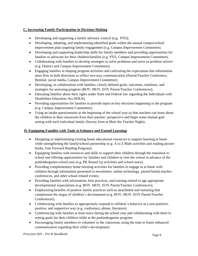#### **C. Increasing Family Participation in Decision-Making**

- Developing and supporting a family advisory council (e.g. PTO);
- Developing, adopting, and implementing identified goals within the annual campus/school improvement plan targeting family engagement (e.g. Campus Improvement Committee);
- Developing and supporting leadership skills for family members and providing opportunities for families to advocate for their children/families (e.g. PTO, Campus Improvement Committee);
- Collaborating with families to develop strategies to solve problems and serve as problem solvers (e.g. District and Campus Improvement Committee);
- Engaging families in shaping program activities and cultivating the expectation that information must flow in both directions to reflect two-way communication (Parent/Teacher Conference, Remind, social media, Campus Improvement Committee);
- Developing, in collaboration with families, clearly defined goals, outcomes, timelines, and strategies for assessing progress (BOY, MOY, EOY Parent/Teacher Conferences);
- Educating families about their rights under State and Federal law regarding the Individuals with Disabilities Education Act (IDEA);
- Providing opportunities for families to provide input on key decisions happening in the program (e.g. Campus Improvement Committee);
- Using an intake questionnaire at the beginning of the school year so that teachers can learn about the children in their classroom from their parents' perspective and begin some mutual goal setting with each individual family (Survey form at Meet the Teacher Night);

#### **D. Equipping Families with Tools to Enhance and Extend Learning**

- Designing or implementing existing home educational resources to support learning at home while strengthening the family/school partnership (e.g. A to Z Math activities and reading picture books, Fast Forward Reading Program);
- Equipping families with resources and skills to support their children through the transition to school and offering opportunities for families and children to visit the school in advance of the prekindergarten school year (e.g. PK Round Up activities and school tours);
- Providing complementary home learning activities for families to engage in at home with children through information presented in newsletters, online technology, parent/family-teacher conferences, and other school related events;
- Providing families with information, best practices, and training related to age appropriate developmental expectations (e.g. BOY, MOY, EOY Parent/Teacher Conferences);
- Emphasizing benefits of positive family practices such as attachment and nurturing that complement the stages of children's development (e.g. BOY, MOY, EOY Parent/Teacher Conferences);
- Collaborating with families to appropriately respond to children's behavior in a non-punitive, positive, and supportive way (e.g. conference, phone, literature);
- Conferencing with families at least twice during the school year and collaborating with them in setting goals for their children while at the prekindergarten program;
- Encouraging family members to volunteer in the classroom, using the time to foster enhanced communication regarding their child's development;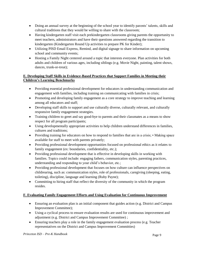- Doing an annual survey at the beginning of the school year to identify parents' talents, skills and cultural traditions that they would be willing to share with the classroom;
- Having kindergarten staff visit each prekindergarten classrooms giving parents the opportunity to meet teachers, administrators and have their questions answered regarding the transition to kindergarten (Kindergarten Round Up activities to prepare PK for Kinder);
- Utilizing PISD Email Express, Remind, and digital signage to share information on upcoming school and community events;
- Hosting a Family Night centered around a topic that interests everyone. Plan activities for both adults and children of various ages, including siblings (e.g. Movie Night, painting, talent shows, dances, trunk-or-treat);

#### **E. Developing Staff Skills in Evidence-Based Practices that Support Families in Meeting their Children's Learning Benchmarks**

- Providing essential professional development for educators in understanding communication and engagement with families, including training on communicating with families in crisis;
- Promoting and developing family engagement as a core strategy to improve teaching and learning among all educators and staff;
- Developing staff skills to support and use culturally diverse, culturally relevant, and culturally responsive family engagement strategies.
- Training children to greet and say good-bye to parents and their classmates as a means to show respect for all program participants;
- Using developmentally appropriate activities to help children understand differences in families, cultures and traditions;
- Providing training for educators on how to respond to families that are in a crisis; Making space available for staff to meet with parents privately;
- Providing professional development opportunities focused on professional ethics as it relates to family engagement (ex: boundaries, confidentiality, etc.);
- Providing professional development that is effective in developing skills in working with families. Topics could include: engaging fathers, communication styles, parenting practices, understanding and responding to your child's behavior, etc.;
- Providing professional development that focuses on how culture can influence perspectives on childrearing, such as: communication styles, role of professionals, caregiving (sleeping, eating, toileting), discipline, language and learning (Ruby Payne);
- Committing to hiring staff that reflect the diversity of the community in which the program resides.

#### **F. Evaluating Family Engagement Efforts and Using Evaluation for Continuous Improvement**

- Ensuring an evaluation plan is an initial component that guides action (e.g. District and Campus Improvement Committee);
- Using a cyclical process to ensure evaluation results are used for continuous improvement and adjustment (e.g. District and Campus Improvement Committee) ;
- Ensuring teachers play a role in the family engagement evaluation process (e.g. Teacher representatives on the District and Campus Improvement Committies)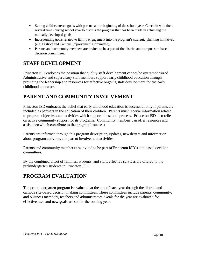- Setting child-centered goals with parents at the beginning of the school year. Check in with them several times during school year to discuss the progress that has been made in achieving the mutually developed goals;
- Incorporating goals related to family engagement into the program's strategic planning initiatives (e.g. District and Campus Improvement Committee);
- Parents and community members are invited to be a part of the district and campus site-based decision committees.

## **STAFF DEVELOPMENT**

Princeton ISD endorses the position that quality staff development cannot be overemphasized. Administrative and supervisory staff members support early childhood education through providing the leadership and resources for effective ongoing staff development for the early childhood educators.

## **PARENT AND COMMUNITY INVOLVEMENT**

Princeton ISD embraces the belief that early childhood education is successful only if parents are included as partners in the education of their children. Parents must receive information related to program objectives and activities which support the school process. Princeton ISD also relies on active community support for its programs. Community members can offer resources and assistance which contribute to the program's success.

Parents are informed through this program description, updates, newsletters and information about program activities and parent involvement activities.

Parents and community members are invited to be part of Princeton ISD's site-based decision committees.

By the combined effort of families, students, and staff, effective services are offered to the prekindergarten students in Princeton ISD.

## **PROGRAM EVALUATION**

The pre-kindergarten program is evaluated at the end of each year through the district and campus site-based decision making committees. These committees include parents, community, and business members, teachers and administrators. Goals for the year are evaluated for effectiveness, and new goals are set for the coming year.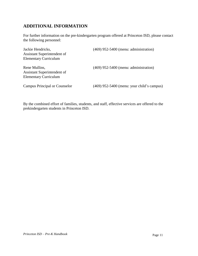### **ADDITIONAL INFORMATION**

For further information on the pre-kindergarten program offered at Princeton ISD, please contact the following personnel:

| Jackie Hendricks,<br>Assistant Superintendent of<br><b>Elementary Curriculum</b> | (469) 952-5400 (menu: administration)        |
|----------------------------------------------------------------------------------|----------------------------------------------|
|                                                                                  |                                              |
| <b>Campus Principal or Counselor</b>                                             | $(469)$ 952-5400 (menu: your child's campus) |

By the combined effort of families, students, and staff, effective services are offered to the prekindergarten students in Princeton ISD.